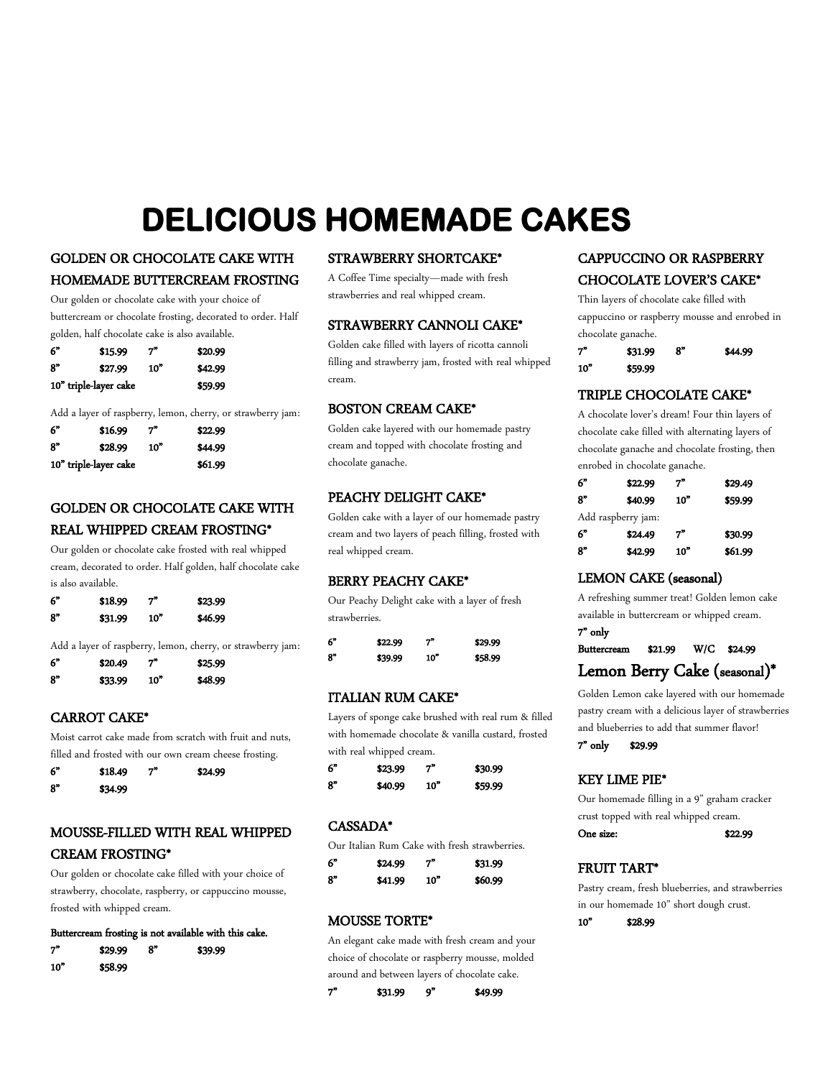# **DELICIOUS HOMEMADE CAKES**

# GOLDEN OR CHOCOLATE CAKE WITH

# HOMEMADE BUTTERCREAM FROSTING

Our golden or chocolate cake with your choice of buttercream or chocolate frosting, decorated to order. Half golden, half chocolate cake is also available.

| 6"                    | \$15.99 | 7"  | \$20.99 |
|-----------------------|---------|-----|---------|
| 8"                    | \$27.99 | 10" | \$42.99 |
| 10" triple-layer cake |         |     | \$59.99 |

Add a layer of raspberry, lemon, cherry, or strawberry jam:

| 6"                    | \$16.99 | 7"              | \$22.99 |
|-----------------------|---------|-----------------|---------|
| ጸ"                    | \$28.99 | 10 <sup>o</sup> | \$44.99 |
| 10" triple-layer cake |         |                 | \$61.99 |

# GOLDEN OR CHOCOLATE CAKE WITH REAL WHIPPED CREAM FROSTING\*

Our golden or chocolate cake frosted with real whipped cream, decorated to order. Half golden, half chocolate cake is also available.

| 6" | \$18.99 | 7"              | \$23.99 |
|----|---------|-----------------|---------|
| 8" | \$31.99 | 10 <sup>"</sup> | \$46.99 |

Add a layer of raspberry, lemon, cherry, or strawberry jam:

| 6" | \$20.49 | 7"              | \$25.99 |
|----|---------|-----------------|---------|
| 8" | \$33.99 | 10 <sup>2</sup> | \$48.99 |

# CARROT CAKE\*

Moist carrot cake made from scratch with fruit and nuts, filled and frosted with our own cream cheese frosting.

| 6" | \$18.49 | 7" | \$24.99 |
|----|---------|----|---------|
| 8" | \$34.99 |    |         |

# MOUSSE-FILLED WITH REAL WHIPPED CREAM FROSTING\*

Our golden or chocolate cake filled with your choice of strawberry, chocolate, raspberry, or cappuccino mousse, frosted with whipped cream.

# Buttercream frosting is not available with this cake.

| 7"              | \$29.99 | 8" | \$39.99 |
|-----------------|---------|----|---------|
| 10 <sup>o</sup> | \$58.99 |    |         |
|                 |         |    |         |

# STRAWBERRY SHORTCAKE\*

A Coffee Time specialty—made with fresh strawberries and real whipped cream.

# STRAWBERRY CANNOLI CAKE\*

Golden cake filled with layers of ricotta cannoli filling and strawberry jam, frosted with real whipped cream.

# BOSTON CREAM CAKE\*

Golden cake layered with our homemade pastry cream and topped with chocolate frosting and chocolate ganache.

# PEACHY DELIGHT CAKE\*

Golden cake with a layer of our homemade pastry cream and two layers of peach filling, frosted with real whipped cream.

# BERRY PEACHY CAKE\*

Our Peachy Delight cake with a layer of fresh strawberries.

| -6" | \$22.99 | 7"              | \$29.99 |
|-----|---------|-----------------|---------|
| 8"  | \$39.99 | 10 <sup>o</sup> | \$58.99 |

# ITALIAN RUM CAKE\*

Layers of sponge cake brushed with real rum & filled with homemade chocolate & vanilla custard, frosted with real whipped cream.

| 6"  | \$23.99 | 7"              | \$30.99 |
|-----|---------|-----------------|---------|
| .የ" | \$40.99 | 10 <sup>9</sup> | \$59.99 |

# CASSADA\*

Our Italian Rum Cake with fresh strawberries.

| 6" | \$24.99 | 7"              | \$31.99 |
|----|---------|-----------------|---------|
| 8" | \$41.99 | 10 <sup>5</sup> | \$60.99 |

# MOUSSE TORTE\*

An elegant cake made with fresh cream and your choice of chocolate or raspberry mousse, molded around and between layers of chocolate cake.

| 7" | \$31.99 | $\mathbf{o}^n$ | \$49.99 |
|----|---------|----------------|---------|
|    |         |                |         |

# CAPPUCCINO OR RASPBERRY

# CHOCOLATE LOVER'S CAKE\*

Thin layers of chocolate cake filled with cappuccino or raspberry mousse and enrobed in chocolate ganache.

| 7"  | \$31.99 | 8" | \$44.99 |
|-----|---------|----|---------|
| 10" | \$59.99 |    |         |
|     |         |    |         |

# TRIPLE CHOCOLATE CAKE\*

A chocolate lover's dream! Four thin layers of chocolate cake filled with alternating layers of chocolate ganache and chocolate frosting, then enrobed in chocolate ganache.

| 6"                 | \$22.99 | 7"              | \$29.49 |
|--------------------|---------|-----------------|---------|
| 8"                 | \$40.99 | 10 <sup>n</sup> | \$59.99 |
| Add raspberry jam: |         |                 |         |
| 6"                 | \$24.49 | 7"              | \$30.99 |
| 8"                 | \$42.99 | 10 <sup>n</sup> | \$61.99 |

# LEMON CAKE (seasonal)

A refreshing summer treat! Golden lemon cake available in buttercream or whipped cream.

7" only Buttercream \$21.99 W/C \$24.99

# Lemon Berry Cake (seasonal)\*

Golden Lemon cake layered with our homemade pastry cream with a delicious layer of strawberries and blueberries to add that summer flavor!

7" only \$29.99

# KEY LIME PIE\*

Our homemade filling in a 9" graham cracker crust topped with real whipped cream. One size: \$22.99

# FRUIT TART\*

Pastry cream, fresh blueberries, and strawberries in our homemade 10" short dough crust.

10" \$28.99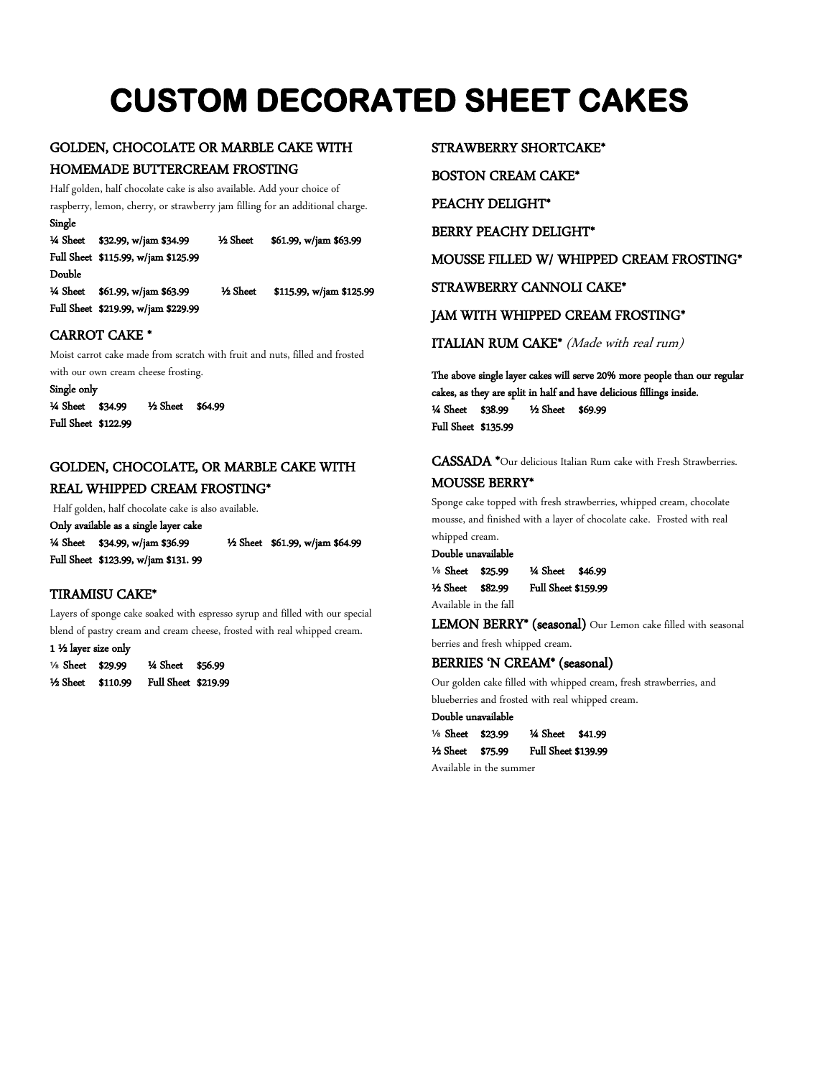# **CUSTOM DECORATED SHEET CAKES**

# GOLDEN, CHOCOLATE OR MARBLE CAKE WITH HOMEMADE BUTTERCREAM FROSTING

Half golden, half chocolate cake is also available. Add your choice of raspberry, lemon, cherry, or strawberry jam filling for an additional charge.

Single ¼ Sheet \$32.99, w/jam \$34.99 ½ Sheet \$61.99, w/jam \$63.99 Full Sheet \$115.99, w/jam \$125.99 Double ¼ Sheet \$61.99, w/jam \$63.99 ½ Sheet \$115.99, w/jam \$125.99 Full Sheet \$219.99, w/jam \$229.99

# CARROT CAKE \*

Moist carrot cake made from scratch with fruit and nuts, filled and frosted with our own cream cheese frosting.

 Full Sheet \$122.99 Single only ¼ Sheet \$34.99 ½ Sheet \$64.99

# GOLDEN, CHOCOLATE, OR MARBLE CAKE WITH

# REAL WHIPPED CREAM FROSTING\*

Half golden, half chocolate cake is also available.

Only available as a single layer cake

Full Sheet \$123.99, w/jam \$131. 99

¼ Sheet \$34.99, w/jam \$36.99 ½ Sheet \$61.99, w/jam \$64.99

# TIRAMISU CAKE\*

Layers of sponge cake soaked with espresso syrup and filled with our special blend of pastry cream and cream cheese, frosted with real whipped cream.

1 ½ layer size only **<sup>⅛</sup>** Sheet \$29.99 ¼ Sheet \$56.99 ½ Sheet \$110.99 Full Sheet \$219.99 STRAWBERRY SHORTCAKE\*

BOSTON CREAM CAKE\*

PEACHY DELIGHT\*

BERRY PEACHY DELIGHT\*

MOUSSE FILLED W/ WHIPPED CREAM FROSTING\*

STRAWBERRY CANNOLI CAKE\*

# JAM WITH WHIPPED CREAM FROSTING\*

ITALIAN RUM CAKE\* (Made with real rum)

The above single layer cakes will serve 20% more people than our regular cakes, as they are split in half and have delicious fillings inside. ¼ Sheet \$38.99 ½ Sheet \$69.99 Full Sheet \$135.99

CASSADA \*Our delicious Italian Rum cake with Fresh Strawberries. MOUSSE BERRY\*

Sponge cake topped with fresh strawberries, whipped cream, chocolate mousse, and finished with a layer of chocolate cake. Frosted with real whipped cream.

### Double unavailable

| 1/8 Sheet \$25.99     | 14 Sheet \$46.99           |  |
|-----------------------|----------------------------|--|
| 1⁄2 Sheet \$82.99     | <b>Full Sheet \$159.99</b> |  |
| Available in the fall |                            |  |

LEMON BERRY\* (seasonal) Our Lemon cake filled with seasonal

berries and fresh whipped cream.

# BERRIES 'N CREAM\* (seasonal)

Our golden cake filled with whipped cream, fresh strawberries, and blueberries and frosted with real whipped cream.

Double unavailable

| % Sheet \$23.99 |         | 1/4 Sheet \$41.99   |  |
|-----------------|---------|---------------------|--|
| ½ Sheet         | \$75.99 | Full Sheet \$139.99 |  |

Available in the summer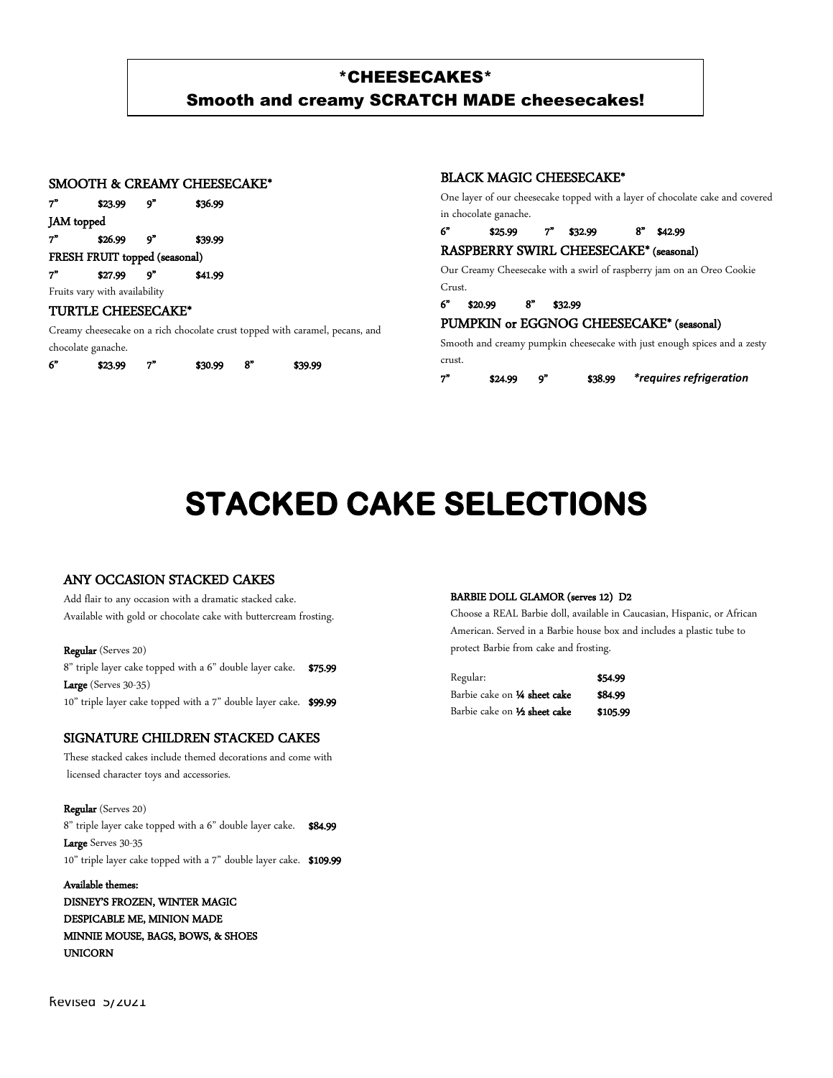# \*CHEESECAKES\* Smooth and creamy SCRATCH MADE cheesecakes!

# SMOOTH & CREAMY CHEESECAKE\*

| 7"                            | \$23.99 | q" | \$36.99 |  |
|-------------------------------|---------|----|---------|--|
| JAM topped                    |         |    |         |  |
| 7"                            | \$26.99 | q" | \$39.99 |  |
| FRESH FRUIT topped (seasonal) |         |    |         |  |
| 7"                            | \$27.99 | o" | \$41.99 |  |
| Fruits vary with availability |         |    |         |  |
| TURTLE CHEESECAKE*            |         |    |         |  |

Creamy cheesecake on a rich chocolate crust topped with caramel, pecans, and chocolate ganache.

|  | 6" | \$23.99 |  | \$30.99 |  | \$39.99 |
|--|----|---------|--|---------|--|---------|
|--|----|---------|--|---------|--|---------|

### BLACK MAGIC CHEESECAKE\*

One layer of our cheesecake topped with a layer of chocolate cake and covered in chocolate ganache.

# 6" \$25.99 7" \$32.99 8" \$42.99

# RASPBERRY SWIRL CHEESECAKE\* (seasonal)

Our Creamy Cheesecake with a swirl of raspberry jam on an Oreo Cookie Crust.

### 6" \$20.99 8" \$32.99

# PUMPKIN or EGGNOG CHEESECAKE\* (seasonal)

Smooth and creamy pumpkin cheesecake with just enough spices and a zesty crust.

7" \$24.99 9" \$38.99 *\*requires refrigeration*

# **STACKED CAKE SELECTIONS**

# ANY OCCASION STACKED CAKES

Add flair to any occasion with a dramatic stacked cake. Available with gold or chocolate cake with buttercream frosting.

# Regular (Serves 20)

8" triple layer cake topped with a 6" double layer cake. \$75.99 Large (Serves 30-35) 10" triple layer cake topped with a 7" double layer cake. \$99.99

# SIGNATURE CHILDREN STACKED CAKES

These stacked cakes include themed decorations and come with licensed character toys and accessories.

Regular (Serves 20) 8" triple layer cake topped with a 6" double layer cake. \$84.99 Large Serves 30-35 10" triple layer cake topped with a 7" double layer cake. \$109.99

Available themes: DISNEY'S FROZEN, WINTER MAGIC DESPICABLE ME, MINION MADE MINNIE MOUSE, BAGS, BOWS, & SHOES UNICORN

### BARBIE DOLL GLAMOR (serves 12) D2

Choose a REAL Barbie doll, available in Caucasian, Hispanic, or African American. Served in a Barbie house box and includes a plastic tube to protect Barbie from cake and frosting.

| Regular:                             | \$54.99  |
|--------------------------------------|----------|
| Barbie cake on 1⁄4 sheet cake        | \$84.99  |
| Barbie cake on 1⁄2 <b>sheet cake</b> | \$105.99 |